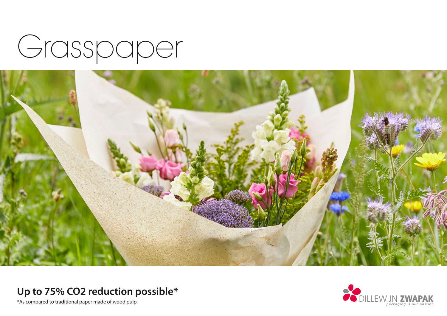



## **Up to 75% CO2 reduction possible\***

\*As compared to traditional paper made of wood pulp.

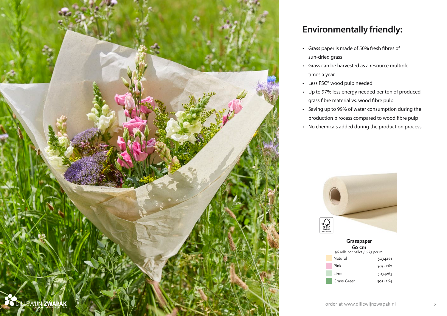

### **Environmentally friendly:**

- Grass paper is made of 50% fresh fibres of sun-dried grass
- Grass can be harvested as a resource multiple times a year
- Less FSC® wood pulp needed
- Up to 97% less energy needed per ton of produced grass fibre material vs. wood fibre pulp
- Saving up to 99% of water consumption during the production p rocess compared to wood fibre pulp
- No chemicals added during the production process



**Grasspaper 60 cm** [96 rolls per pallet / 6 kg per rol](https://www.dillewijnzwapak.com/search-articles?referrer=flyer&search=503426) Natural 5034261 Pink 5034262 Lime 5034263 Grass Green 5034264